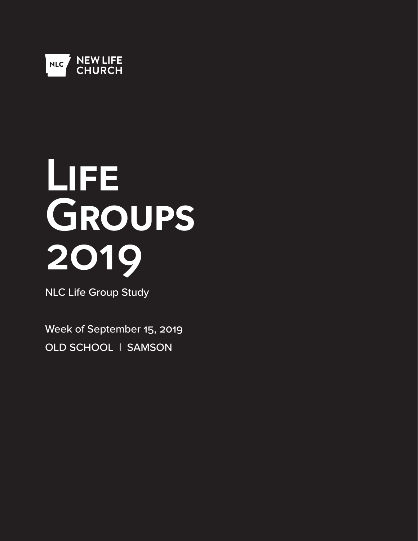

# **Life Groups 2019**

NLC Life Group Study

Week of September 15, 2019 OLD SCHOOL | SAMSON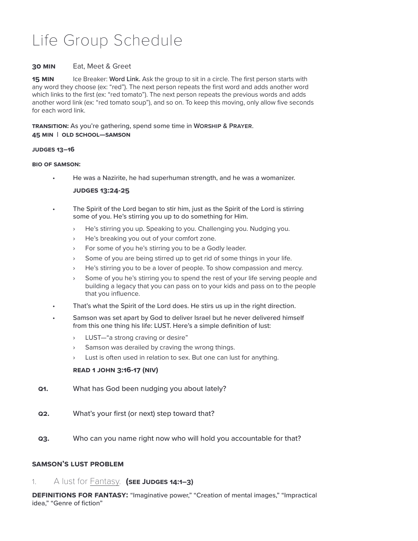# Life Group Schedule

# **30 Min** Eat, Meet & Greet

**15 MIN** Ice Breaker: Word Link. Ask the group to sit in a circle. The first person starts with any word they choose (ex: "red"). The next person repeats the first word and adds another word which links to the first (ex: "red tomato"). The next person repeats the previous words and adds another word link (ex: "red tomato soup"), and so on. To keep this moving, only allow five seconds for each word link.

**Transition:** As you're gathering, spend some time in **Worship & Prayer**. **45 Min | Old School—SAMSON**

#### **Judges 13–16**

#### **Bio of Samson:**

• He was a Nazirite, he had superhuman strength, and he was a womanizer.

#### **Judges 13:24-25**

- The Spirit of the Lord began to stir him, just as the Spirit of the Lord is stirring some of you. He's stirring you up to do something for Him.
	- He's stirring you up. Speaking to you. Challenging you. Nudging you.
	- › He's breaking you out of your comfort zone.
	- › For some of you he's stirring you to be a Godly leader.
	- Some of you are being stirred up to get rid of some things in your life.
	- › He's stirring you to be a lover of people. To show compassion and mercy.
	- Some of you he's stirring you to spend the rest of your life serving people and building a legacy that you can pass on to your kids and pass on to the people that you influence.
- That's what the Spirit of the Lord does. He stirs us up in the right direction.
- Samson was set apart by God to deliver Israel but he never delivered himself from this one thing his life: LUST. Here's a simple definition of lust:
	- › LUST—"a strong craving or desire"
	- Samson was derailed by craving the wrong things.
	- › Lust is often used in relation to sex. But one can lust for anything.

# **Read 1 John 3:16-17 (NIV)**

- **Q1.** What has God been nudging you about lately?
- **Q2.** What's your first (or next) step toward that?
- **Q3.** Who can you name right now who will hold you accountable for that?

# **Samson's lust problem**

1. A lust for Fantasy. **(see Judges 14:1–3)**

**Definitions for Fantasy:** "Imaginative power," "Creation of mental images," "Impractical idea," "Genre of fiction"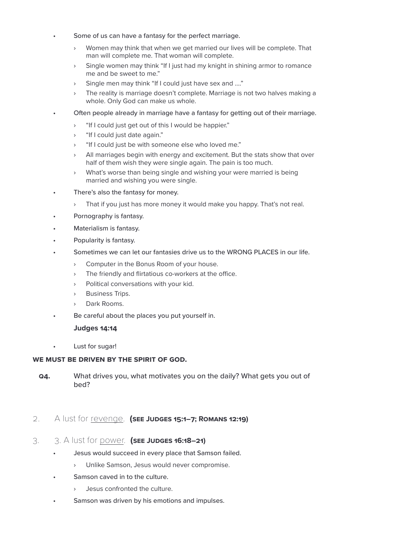- Some of us can have a fantasy for the perfect marriage.
	- › Women may think that when we get married our lives will be complete. That man will complete me. That woman will complete.
	- › Single women may think "If I just had my knight in shining armor to romance me and be sweet to me."
	- › Single men may think "If I could just have sex and …."
	- The reality is marriage doesn't complete. Marriage is not two halves making a whole. Only God can make us whole.
- Often people already in marriage have a fantasy for getting out of their marriage.
	- › "If I could just get out of this I would be happier."
	- › "If I could just date again."
	- › "If I could just be with someone else who loved me."
	- All marriages begin with energy and excitement. But the stats show that over half of them wish they were single again. The pain is too much.
	- › What's worse than being single and wishing your were married is being married and wishing you were single.
- There's also the fantasy for money.
	- › That if you just has more money it would make you happy. That's not real.
- Pornography is fantasy.
- Materialism is fantasy.
- Popularity is fantasy.
- Sometimes we can let our fantasies drive us to the WRONG PLACES in our life.
	- › Computer in the Bonus Room of your house.
	- The friendly and flirtatious co-workers at the office.
	- › Political conversations with your kid.
	- › Business Trips.
	- › Dark Rooms.
- Be careful about the places you put yourself in.

#### **Judges 14:14**

• Lust for sugar!

#### **We must be driven by the Spirit of God.**

**Q4.** What drives you, what motivates you on the daily? What gets you out of bed?

# 2. A lust for revenge. **(see Judges 15:1–7; Romans 12:19)**

- 3. 3. A lust for power. **(see Judges 16:18–21)**
	- Jesus would succeed in every place that Samson failed.
		- › Unlike Samson, Jesus would never compromise.
	- Samson caved in to the culture.
		- › Jesus confronted the culture.
	- Samson was driven by his emotions and impulses.